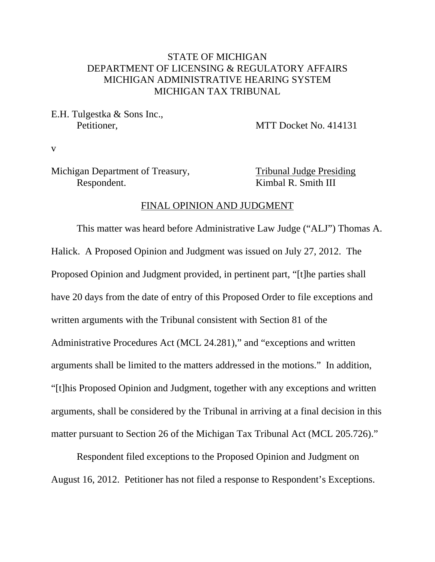# STATE OF MICHIGAN DEPARTMENT OF LICENSING & REGULATORY AFFAIRS MICHIGAN ADMINISTRATIVE HEARING SYSTEM MICHIGAN TAX TRIBUNAL

E.H. Tulgestka & Sons Inc.,

Petitioner. MTT Docket No. 414131

v

# Michigan Department of Treasury, Tribunal Judge Presiding Respondent. Kimbal R. Smith III

#### FINAL OPINION AND JUDGMENT

This matter was heard before Administrative Law Judge ("ALJ") Thomas A. Halick. A Proposed Opinion and Judgment was issued on July 27, 2012. The Proposed Opinion and Judgment provided, in pertinent part, "[t]he parties shall have 20 days from the date of entry of this Proposed Order to file exceptions and written arguments with the Tribunal consistent with Section 81 of the Administrative Procedures Act (MCL 24.281)," and "exceptions and written arguments shall be limited to the matters addressed in the motions." In addition, "[t]his Proposed Opinion and Judgment, together with any exceptions and written arguments, shall be considered by the Tribunal in arriving at a final decision in this matter pursuant to Section 26 of the Michigan Tax Tribunal Act (MCL 205.726)."

Respondent filed exceptions to the Proposed Opinion and Judgment on August 16, 2012. Petitioner has not filed a response to Respondent's Exceptions.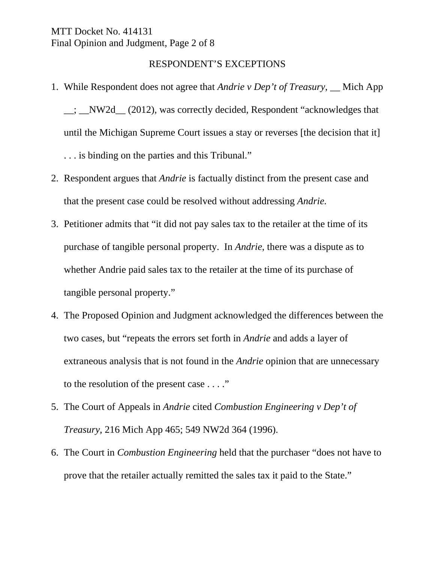MTT Docket No. 414131 Final Opinion and Judgment, Page 2 of 8

### RESPONDENT'S EXCEPTIONS

- 1. While Respondent does not agree that *Andrie v Dep't of Treasury*, \_\_ Mich App \_\_; \_\_NW2d\_\_ (2012), was correctly decided, Respondent "acknowledges that until the Michigan Supreme Court issues a stay or reverses [the decision that it] . . . is binding on the parties and this Tribunal."
- 2. Respondent argues that *Andrie* is factually distinct from the present case and that the present case could be resolved without addressing *Andrie.*
- 3. Petitioner admits that "it did not pay sales tax to the retailer at the time of its purchase of tangible personal property. In *Andrie*, there was a dispute as to whether Andrie paid sales tax to the retailer at the time of its purchase of tangible personal property."
- 4. The Proposed Opinion and Judgment acknowledged the differences between the two cases, but "repeats the errors set forth in *Andrie* and adds a layer of extraneous analysis that is not found in the *Andrie* opinion that are unnecessary to the resolution of the present case . . . ."
- 5. The Court of Appeals in *Andrie* cited *Combustion Engineering v Dep't of Treasury*, 216 Mich App 465; 549 NW2d 364 (1996).
- 6. The Court in *Combustion Engineering* held that the purchaser "does not have to prove that the retailer actually remitted the sales tax it paid to the State."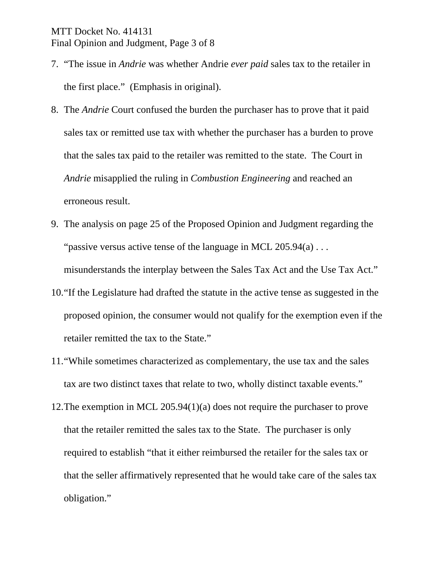# MTT Docket No. 414131 Final Opinion and Judgment, Page 3 of 8

- 7. "The issue in *Andrie* was whether Andrie *ever paid* sales tax to the retailer in the first place." (Emphasis in original).
- 8. The *Andrie* Court confused the burden the purchaser has to prove that it paid sales tax or remitted use tax with whether the purchaser has a burden to prove that the sales tax paid to the retailer was remitted to the state. The Court in *Andrie* misapplied the ruling in *Combustion Engineering* and reached an erroneous result.
- 9. The analysis on page 25 of the Proposed Opinion and Judgment regarding the "passive versus active tense of the language in MCL  $205.94(a) \ldots$ misunderstands the interplay between the Sales Tax Act and the Use Tax Act."
- 10."If the Legislature had drafted the statute in the active tense as suggested in the proposed opinion, the consumer would not qualify for the exemption even if the retailer remitted the tax to the State."
- 11."While sometimes characterized as complementary, the use tax and the sales tax are two distinct taxes that relate to two, wholly distinct taxable events."
- 12.The exemption in MCL 205.94(1)(a) does not require the purchaser to prove that the retailer remitted the sales tax to the State. The purchaser is only required to establish "that it either reimbursed the retailer for the sales tax or that the seller affirmatively represented that he would take care of the sales tax obligation."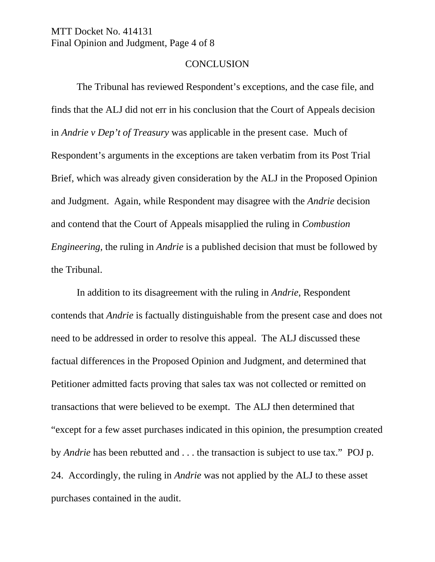MTT Docket No. 414131 Final Opinion and Judgment, Page 4 of 8

#### **CONCLUSION**

The Tribunal has reviewed Respondent's exceptions, and the case file, and finds that the ALJ did not err in his conclusion that the Court of Appeals decision in *Andrie v Dep't of Treasury* was applicable in the present case. Much of Respondent's arguments in the exceptions are taken verbatim from its Post Trial Brief, which was already given consideration by the ALJ in the Proposed Opinion and Judgment. Again, while Respondent may disagree with the *Andrie* decision and contend that the Court of Appeals misapplied the ruling in *Combustion Engineering*, the ruling in *Andrie* is a published decision that must be followed by the Tribunal.

In addition to its disagreement with the ruling in *Andrie*, Respondent contends that *Andrie* is factually distinguishable from the present case and does not need to be addressed in order to resolve this appeal. The ALJ discussed these factual differences in the Proposed Opinion and Judgment, and determined that Petitioner admitted facts proving that sales tax was not collected or remitted on transactions that were believed to be exempt. The ALJ then determined that "except for a few asset purchases indicated in this opinion, the presumption created by *Andrie* has been rebutted and . . . the transaction is subject to use tax." POJ p. 24. Accordingly, the ruling in *Andrie* was not applied by the ALJ to these asset purchases contained in the audit.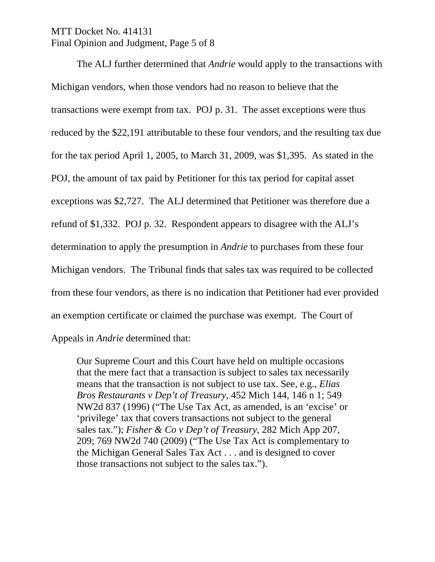# MTT Docket No. 414131 Final Opinion and Judgment, Page 5 of 8

The ALJ further determined that *Andrie* would apply to the transactions with Michigan vendors, when those vendors had no reason to believe that the transactions were exempt from tax. POJ p. 31. The asset exceptions were thus reduced by the \$22,191 attributable to these four vendors, and the resulting tax due for the tax period April 1, 2005, to March 31, 2009, was \$1,395. As stated in the POJ, the amount of tax paid by Petitioner for this tax period for capital asset exceptions was \$2,727. The ALJ determined that Petitioner was therefore due a refund of \$1,332. POJ p. 32. Respondent appears to disagree with the ALJ's determination to apply the presumption in *Andrie* to purchases from these four Michigan vendors. The Tribunal finds that sales tax was required to be collected from these four vendors, as there is no indication that Petitioner had ever provided an exemption certificate or claimed the purchase was exempt. The Court of Appeals in *Andrie* determined that:

Our Supreme Court and this Court have held on multiple occasions that the mere fact that a transaction is subject to sales tax necessarily means that the transaction is not subject to use tax. See, e.g., *Elias Bros Restaurants v Dep't of Treasury*, 452 Mich 144, 146 n 1; 549 NW2d 837 (1996) ("The Use Tax Act, as amended, is an 'excise' or 'privilege' tax that covers transactions not subject to the general sales tax."); *Fisher & Co v Dep't of Treasury*, 282 Mich App 207, 209; 769 NW2d 740 (2009) ("The Use Tax Act is complementary to the Michigan General Sales Tax Act . . . and is designed to cover those transactions not subject to the sales tax.").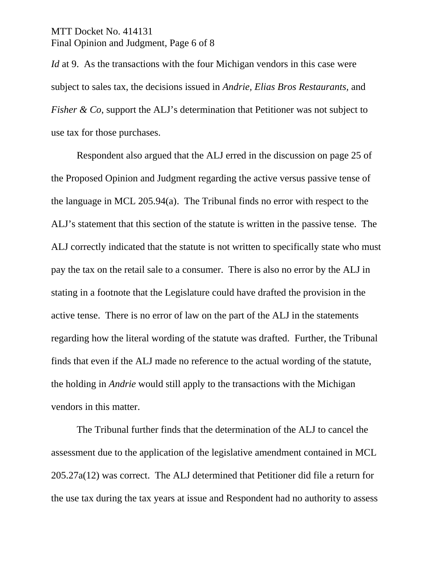### MTT Docket No. 414131 Final Opinion and Judgment, Page 6 of 8

*Id* at 9. As the transactions with the four Michigan vendors in this case were subject to sales tax, the decisions issued in *Andrie, Elias Bros Restaurants,* and *Fisher & Co*, support the ALJ's determination that Petitioner was not subject to use tax for those purchases.

Respondent also argued that the ALJ erred in the discussion on page 25 of the Proposed Opinion and Judgment regarding the active versus passive tense of the language in MCL 205.94(a). The Tribunal finds no error with respect to the ALJ's statement that this section of the statute is written in the passive tense. The ALJ correctly indicated that the statute is not written to specifically state who must pay the tax on the retail sale to a consumer. There is also no error by the ALJ in stating in a footnote that the Legislature could have drafted the provision in the active tense. There is no error of law on the part of the ALJ in the statements regarding how the literal wording of the statute was drafted. Further, the Tribunal finds that even if the ALJ made no reference to the actual wording of the statute, the holding in *Andrie* would still apply to the transactions with the Michigan vendors in this matter.

The Tribunal further finds that the determination of the ALJ to cancel the assessment due to the application of the legislative amendment contained in MCL 205.27a(12) was correct. The ALJ determined that Petitioner did file a return for the use tax during the tax years at issue and Respondent had no authority to assess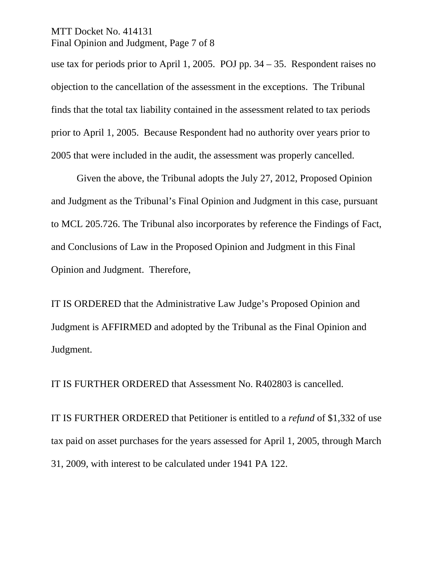### MTT Docket No. 414131 Final Opinion and Judgment, Page 7 of 8

use tax for periods prior to April 1, 2005. POJ pp. 34 – 35. Respondent raises no objection to the cancellation of the assessment in the exceptions. The Tribunal finds that the total tax liability contained in the assessment related to tax periods prior to April 1, 2005. Because Respondent had no authority over years prior to 2005 that were included in the audit, the assessment was properly cancelled.

Given the above, the Tribunal adopts the July 27, 2012, Proposed Opinion and Judgment as the Tribunal's Final Opinion and Judgment in this case, pursuant to MCL 205.726. The Tribunal also incorporates by reference the Findings of Fact, and Conclusions of Law in the Proposed Opinion and Judgment in this Final Opinion and Judgment. Therefore,

IT IS ORDERED that the Administrative Law Judge's Proposed Opinion and Judgment is AFFIRMED and adopted by the Tribunal as the Final Opinion and Judgment.

IT IS FURTHER ORDERED that Assessment No. R402803 is cancelled.

IT IS FURTHER ORDERED that Petitioner is entitled to a *refund* of \$1,332 of use tax paid on asset purchases for the years assessed for April 1, 2005, through March 31, 2009, with interest to be calculated under 1941 PA 122.